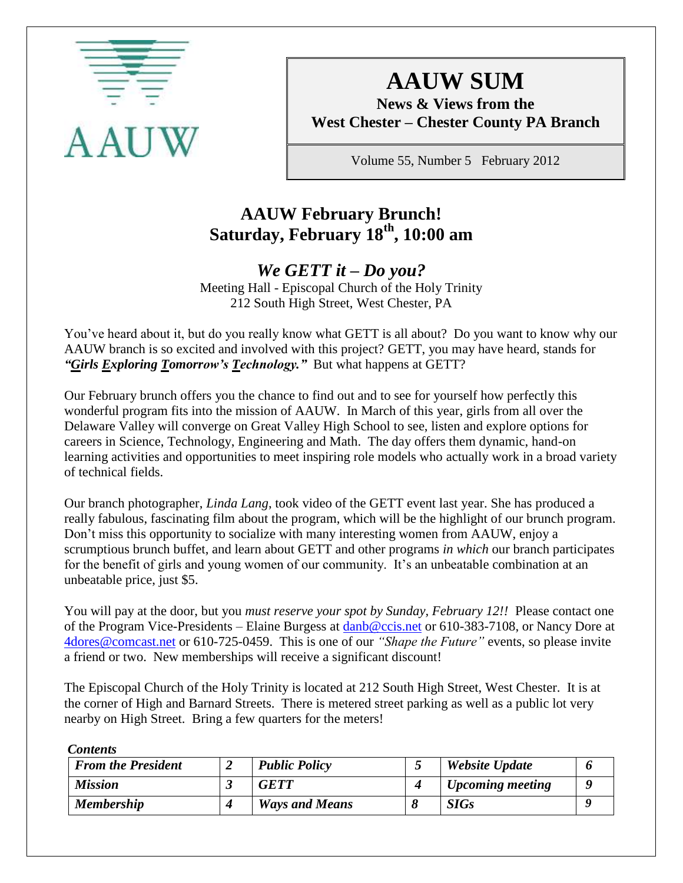

# **AAUW SUM**

**News & Views from the West Chester – Chester County PA Branch**

Volume 55, Number 5 February 2012

# **AAUW February Brunch! Saturday, February 18th, 10:00 am**

# *We GETT it – Do you?*

Meeting Hall - Episcopal Church of the Holy Trinity 212 South High Street, West Chester, PA

You've heard about it, but do you really know what GETT is all about? Do you want to know why our AAUW branch is so excited and involved with this project? GETT, you may have heard, stands for "*Girls Exploring Tomorrow's Technology.*" But what happens at GETT?

Our February brunch offers you the chance to find out and to see for yourself how perfectly this wonderful program fits into the mission of AAUW. In March of this year, girls from all over the Delaware Valley will converge on Great Valley High School to see, listen and explore options for careers in Science, Technology, Engineering and Math. The day offers them dynamic, hand-on learning activities and opportunities to meet inspiring role models who actually work in a broad variety of technical fields.

Our branch photographer, *Linda Lang*, took video of the GETT event last year. She has produced a really fabulous, fascinating film about the program, which will be the highlight of our brunch program. Don't miss this opportunity to socialize with many interesting women from AAUW, enjoy a scrumptious brunch buffet, and learn about GETT and other programs *in which* our branch participates for the benefit of girls and young women of our community. It's an unbeatable combination at an unbeatable price, just \$5.

You will pay at the door, but you *must reserve your spot by Sunday, February 12!!* Please contact one of the Program Vice-Presidents – Elaine Burgess at [danb@ccis.net](mailto:danb@ccis.net) or 610-383-7108, or Nancy Dore at [4dores@comcast.net](mailto:4dores@comcast.net) or 610-725-0459. This is one of our *"Shape the Future"* events, so please invite a friend or two. New memberships will receive a significant discount!

The Episcopal Church of the Holy Trinity is located at 212 South High Street, West Chester. It is at the corner of High and Barnard Streets. There is metered street parking as well as a public lot very nearby on High Street. Bring a few quarters for the meters!

*Contents*

| <b>From the President</b> | <b>Public Policy</b>  | Website Update          |  |
|---------------------------|-----------------------|-------------------------|--|
| <b>Mission</b>            | <b>GETT</b>           | <b>Upcoming meeting</b> |  |
| <b>Membership</b>         | <b>Ways and Means</b> | <b>SIGs</b>             |  |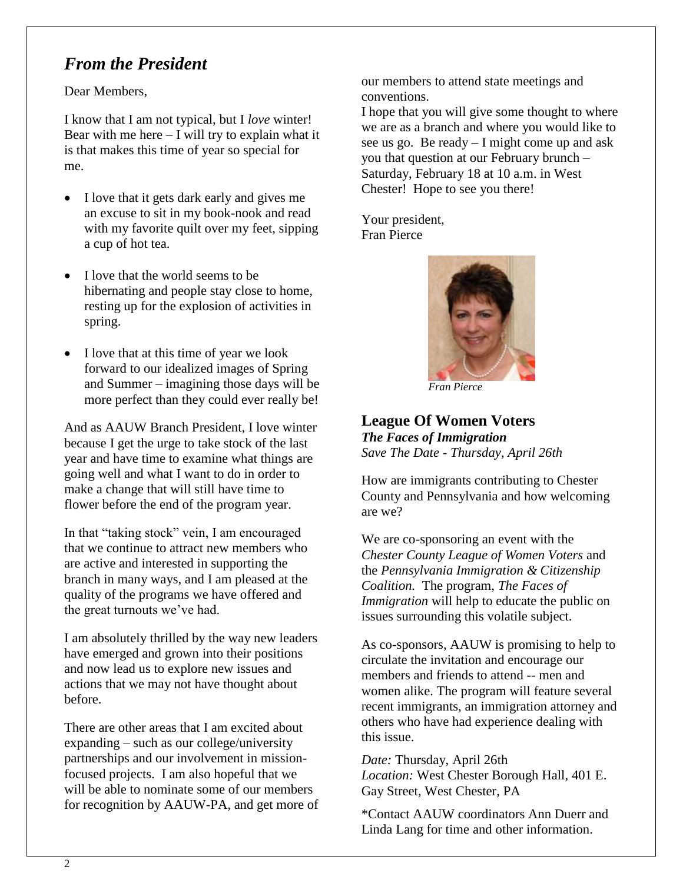# *From the President*

Dear Members,

I know that I am not typical, but I *love* winter! Bear with me here  $-$  I will try to explain what it is that makes this time of year so special for me.

- I love that it gets dark early and gives me an excuse to sit in my book-nook and read with my favorite quilt over my feet, sipping a cup of hot tea.
- I love that the world seems to be hibernating and people stay close to home, resting up for the explosion of activities in spring.
- I love that at this time of year we look forward to our idealized images of Spring and Summer – imagining those days will be more perfect than they could ever really be!

And as AAUW Branch President, I love winter because I get the urge to take stock of the last year and have time to examine what things are going well and what I want to do in order to make a change that will still have time to flower before the end of the program year.

In that "taking stock" vein, I am encouraged that we continue to attract new members who are active and interested in supporting the branch in many ways, and I am pleased at the quality of the programs we have offered and the great turnouts we've had.

I am absolutely thrilled by the way new leaders have emerged and grown into their positions and now lead us to explore new issues and actions that we may not have thought about before.

There are other areas that I am excited about expanding – such as our college/university partnerships and our involvement in missionfocused projects. I am also hopeful that we will be able to nominate some of our members for recognition by AAUW-PA, and get more of our members to attend state meetings and conventions.

I hope that you will give some thought to where we are as a branch and where you would like to see us go. Be ready – I might come up and ask you that question at our February brunch – Saturday, February 18 at 10 a.m. in West Chester! Hope to see you there!

Your president, Fran Pierce



 *Fran Pierce*

### **League Of Women Voters**

*The Faces of Immigration Save The Date - Thursday, April 26th*

How are immigrants contributing to Chester County and Pennsylvania and how welcoming are we?

We are co-sponsoring an event with the *Chester County League of Women Voters* and the *Pennsylvania Immigration & Citizenship Coalition.* The program, *The Faces of Immigration* will help to educate the public on issues surrounding this volatile subject.

As co-sponsors, AAUW is promising to help to circulate the invitation and encourage our members and friends to attend -- men and women alike. The program will feature several recent immigrants, an immigration attorney and others who have had experience dealing with this issue.

*Date:* Thursday, April 26th *Location:* West Chester Borough Hall, 401 E. Gay Street, West Chester, PA

\*Contact AAUW coordinators Ann Duerr and Linda Lang for time and other information.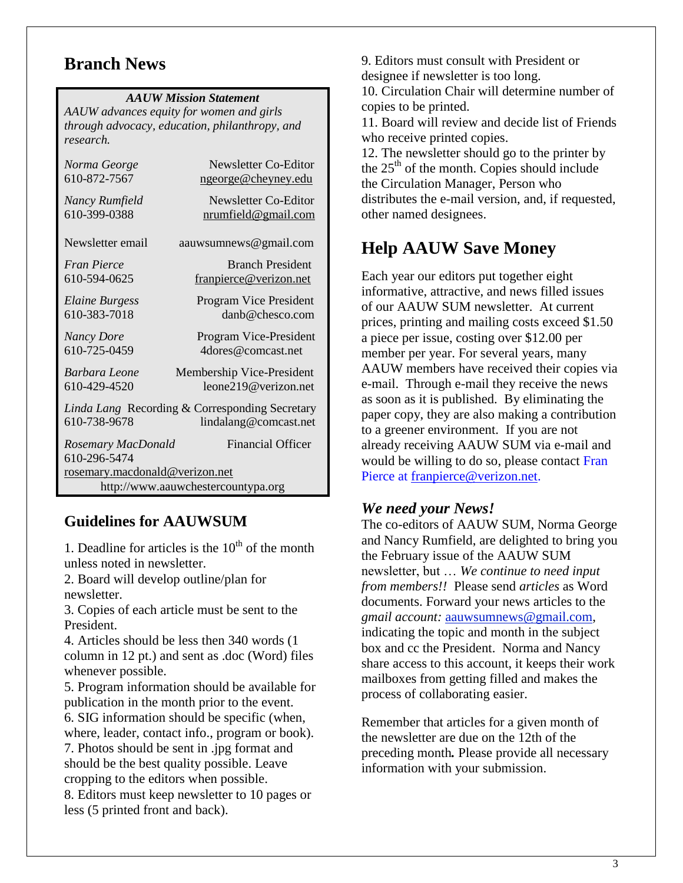# **Branch News**

#### *AAUW Mission Statement*

*AAUW advances equity for women and girls through advocacy, education, philanthropy, and research.*

| Newsletter Co-Editor<br>ngeorge@cheyney.edu                                             |  |  |  |  |
|-----------------------------------------------------------------------------------------|--|--|--|--|
| Newsletter Co-Editor<br><u>nrumfield@gmail.com</u>                                      |  |  |  |  |
| aauwsumnews@gmail.com                                                                   |  |  |  |  |
| <b>Branch President</b><br>franpierce@verizon.net                                       |  |  |  |  |
| Program Vice President<br>danh@chesco.com                                               |  |  |  |  |
| Program Vice-President<br>4dores@comcast.net                                            |  |  |  |  |
| Membership Vice-President<br>leone219@verizon.net                                       |  |  |  |  |
| Linda Lang Recording & Corresponding Secretary<br>610-738-9678<br>lindalang@comcast.net |  |  |  |  |
| <b>Financial Officer</b>                                                                |  |  |  |  |
| rosemary.macdonald@verizon.net<br>http://www.aauwchestercountypa.org                    |  |  |  |  |
|                                                                                         |  |  |  |  |

### **Guidelines for AAUWSUM**

1. Deadline for articles is the  $10<sup>th</sup>$  of the month unless noted in newsletter.

2. Board will develop outline/plan for newsletter.

3. Copies of each article must be sent to the President.

4. Articles should be less then 340 words (1 column in 12 pt.) and sent as .doc (Word) files whenever possible.

5. Program information should be available for publication in the month prior to the event. 6. SIG information should be specific (when,

where, leader, contact info., program or book). 7. Photos should be sent in .jpg format and should be the best quality possible. Leave

cropping to the editors when possible. 8. Editors must keep newsletter to 10 pages or

less (5 printed front and back).

9. Editors must consult with President or designee if newsletter is too long.

10. Circulation Chair will determine number of copies to be printed.

11. Board will review and decide list of Friends who receive printed copies.

12. The newsletter should go to the printer by the  $25<sup>th</sup>$  of the month. Copies should include the Circulation Manager, Person who distributes the e-mail version, and, if requested, other named designees.

# **Help AAUW Save Money**

Each year our editors put together eight informative, attractive, and news filled issues of our AAUW SUM newsletter. At current prices, printing and mailing costs exceed \$1.50 a piece per issue, costing over \$12.00 per member per year. For several years, many AAUW members have received their copies via e-mail. Through e-mail they receive the news as soon as it is published. By eliminating the paper copy, they are also making a contribution to a greener environment. If you are not already receiving AAUW SUM via e-mail and would be willing to do so, please contact Fran Pierce at [franpierce@verizon.net.](mailto:franpierce@verizon.net)

### *We need your News!*

The co-editors of AAUW SUM, Norma George and Nancy Rumfield, are delighted to bring you the February issue of the AAUW SUM newsletter, but … *We continue to need input from members!!* Please send *articles* as Word documents. Forward your news articles to the *gmail account:* [aauwsumnews@gmail.com,](mailto:aauwsum@gmail.com) indicating the topic and month in the subject box and cc the President. Norma and Nancy share access to this account, it keeps their work mailboxes from getting filled and makes the process of collaborating easier.

Remember that articles for a given month of the newsletter are due on the 12th of the preceding month*.* Please provide all necessary information with your submission.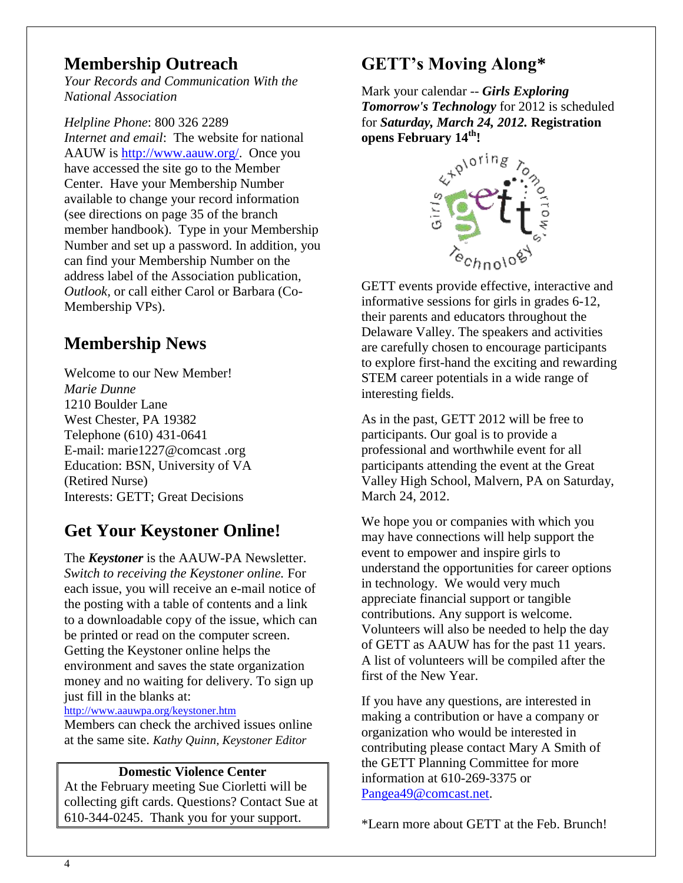# **Membership Outreach**

*Your Records and Communication With the National Association*

*Helpline Phone*: 800 326 2289 *Internet and email*: The website for national AAUW is [http://www.aauw.org/.](http://www.aauw.org/) Once you have accessed the site go to the Member Center. Have your Membership Number available to change your record information (see directions on page 35 of the branch member handbook). Type in your Membership Number and set up a password. In addition, you can find your Membership Number on the address label of the Association publication, *Outlook,* or call either Carol or Barbara (Co-Membership VPs).

# **Membership News**

Welcome to our New Member! *Marie Dunne* 1210 Boulder Lane West Chester, PA 19382 Telephone (610) 431-0641 E-mail: marie1227@comcast .org Education: BSN, University of VA (Retired Nurse) Interests: GETT; Great Decisions

# **Get Your Keystoner Online!**

The *Keystoner* is the AAUW-PA Newsletter. *Switch to receiving the Keystoner online.* For each issue, you will receive an e-mail notice of the posting with a table of contents and a link to a downloadable copy of the issue, which can be printed or read on the computer screen. Getting the Keystoner online helps the environment and saves the state organization money and no waiting for delivery. To sign up just fill in the blanks at:

<http://www.aauwpa.org/keystoner.htm>

Members can check the archived issues online at the same site. *Kathy Quinn, Keystoner Editor*

### **Domestic Violence Center**

At the February meeting Sue Ciorletti will be collecting gift cards. Questions? Contact Sue at 610-344-0245. Thank you for your support.

# **GETT's Moving Along\***

Mark your calendar -- *Girls Exploring Tomorrow's Technology* for 2012 is scheduled for *Saturday, March 24, 2012.* **Registration** 



GETT events provide effective, interactive and informative sessions for girls in grades 6-12, their parents and educators throughout the Delaware Valley. The speakers and activities are carefully chosen to encourage participants to explore first-hand the exciting and rewarding STEM career potentials in a wide range of interesting fields.

As in the past, GETT 2012 will be free to participants. Our goal is to provide a professional and worthwhile event for all participants attending the event at the Great Valley High School, Malvern, PA on Saturday, March 24, 2012.

We hope you or companies with which you may have connections will help support the event to empower and inspire girls to understand the opportunities for career options in technology. We would very much appreciate financial support or tangible contributions. Any support is welcome. Volunteers will also be needed to help the day of GETT as AAUW has for the past 11 years. A list of volunteers will be compiled after the first of the New Year.

If you have any questions, are interested in making a contribution or have a company or organization who would be interested in contributing please contact Mary A Smith of the GETT Planning Committee for more information at 610-269-3375 or [Pangea49@comcast.net.](mailto:Pangea49@comcast.net)

\*Learn more about GETT at the Feb. Brunch!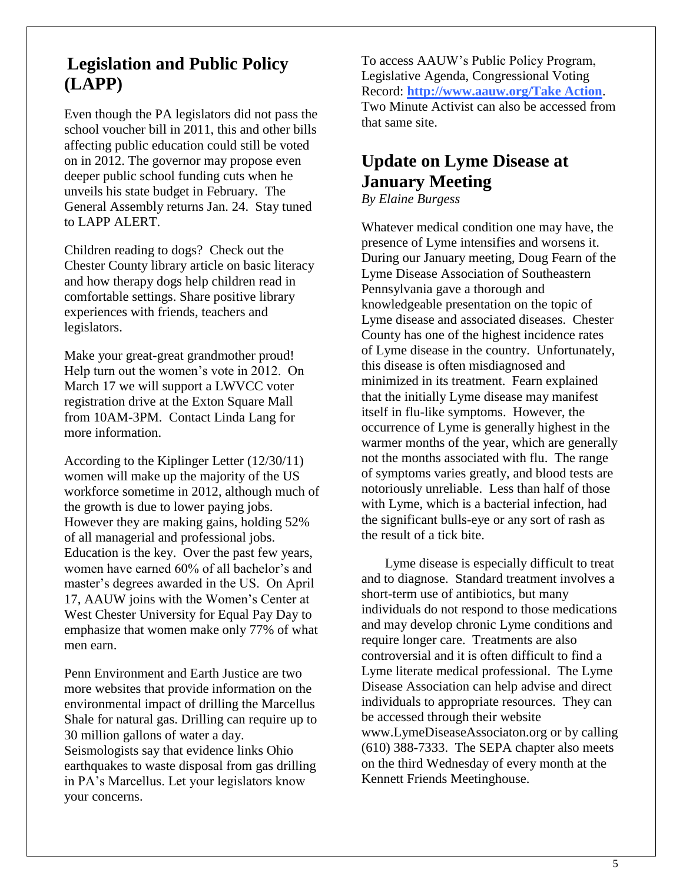# **Legislation and Public Policy (LAPP)**

Even though the PA legislators did not pass the school voucher bill in 2011, this and other bills affecting public education could still be voted on in 2012. The governor may propose even deeper public school funding cuts when he unveils his state budget in February. The General Assembly returns Jan. 24. Stay tuned to LAPP ALERT.

Children reading to dogs? Check out the Chester County library article on basic literacy and how therapy dogs help children read in comfortable settings. Share positive library experiences with friends, teachers and legislators.

Make your great-great grandmother proud! Help turn out the women's vote in 2012. On March 17 we will support a LWVCC voter registration drive at the Exton Square Mall from 10AM-3PM. Contact Linda Lang for more information.

According to the Kiplinger Letter (12/30/11) women will make up the majority of the US workforce sometime in 2012, although much of the growth is due to lower paying jobs. However they are making gains, holding 52% of all managerial and professional jobs. Education is the key. Over the past few years, women have earned 60% of all bachelor's and master's degrees awarded in the US. On April 17, AAUW joins with the Women's Center at West Chester University for Equal Pay Day to emphasize that women make only 77% of what men earn.

Penn Environment and Earth Justice are two more websites that provide information on the environmental impact of drilling the Marcellus Shale for natural gas. Drilling can require up to 30 million gallons of water a day. Seismologists say that evidence links Ohio earthquakes to waste disposal from gas drilling in PA's Marcellus. Let your legislators know your concerns.

To access AAUW's Public Policy Program, Legislative Agenda, Congressional Voting Record: **http://www.aauw.org/Take Action**. Two Minute Activist can also be accessed from that same site.

# **Update on Lyme Disease at January Meeting**

*By Elaine Burgess*

Whatever medical condition one may have, the presence of Lyme intensifies and worsens it. During our January meeting, Doug Fearn of the Lyme Disease Association of Southeastern Pennsylvania gave a thorough and knowledgeable presentation on the topic of Lyme disease and associated diseases. Chester County has one of the highest incidence rates of Lyme disease in the country. Unfortunately, this disease is often misdiagnosed and minimized in its treatment. Fearn explained that the initially Lyme disease may manifest itself in flu-like symptoms. However, the occurrence of Lyme is generally highest in the warmer months of the year, which are generally not the months associated with flu. The range of symptoms varies greatly, and blood tests are notoriously unreliable. Less than half of those with Lyme, which is a bacterial infection, had the significant bulls-eye or any sort of rash as the result of a tick bite.

 Lyme disease is especially difficult to treat and to diagnose. Standard treatment involves a short-term use of antibiotics, but many individuals do not respond to those medications and may develop chronic Lyme conditions and require longer care. Treatments are also controversial and it is often difficult to find a Lyme literate medical professional. The Lyme Disease Association can help advise and direct individuals to appropriate resources. They can be accessed through their website www.LymeDiseaseAssociaton.org or by calling (610) 388-7333. The SEPA chapter also meets on the third Wednesday of every month at the Kennett Friends Meetinghouse.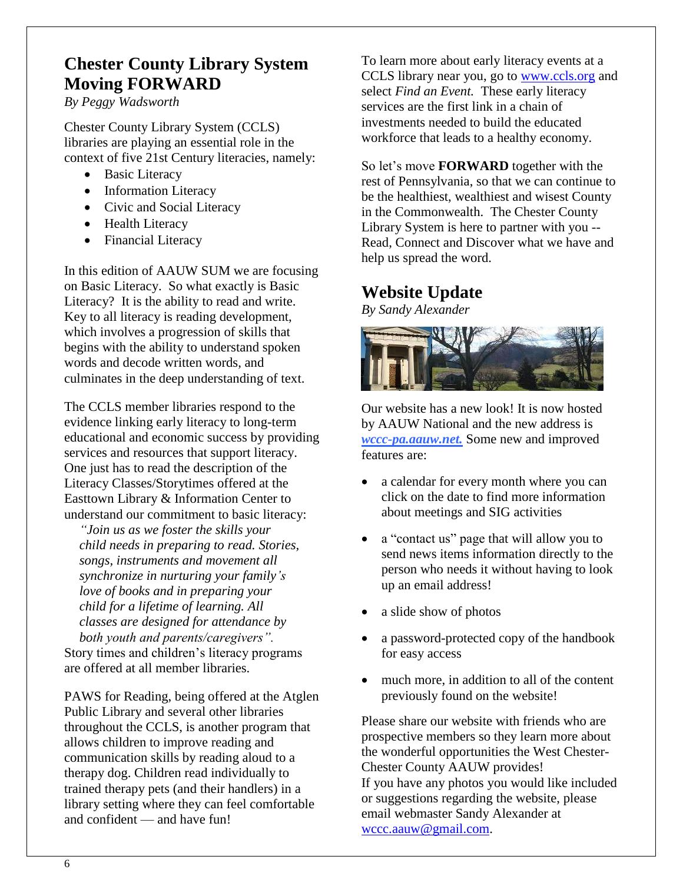# **Chester County Library System Moving FORWARD**

*By Peggy Wadsworth*

Chester County Library System (CCLS) libraries are playing an essential role in the context of five 21st Century literacies, namely:

- Basic Literacy
- Information Literacy
- Civic and Social Literacy
- Health Literacy
- Financial Literacy

In this edition of AAUW SUM we are focusing on Basic Literacy. So what exactly is Basic Literacy? It is the ability to read and write. Key to all literacy is [reading](http://en.wikipedia.org/wiki/Reading_(process)) development, which involves a progression of skills that begins with the ability to understand spoken words and decode written words, and culminates in the deep understanding of text.

The CCLS member libraries respond to the evidence linking early literacy to long-term educational and economic success by providing services and resources that support literacy. One just has to read the description of the Literacy Classes/Storytimes offered at the Easttown Library & Information Center to understand our commitment to basic literacy:

*"Join us as we foster the skills your child needs in preparing to read. Stories, songs, instruments and movement all synchronize in nurturing your family's love of books and in preparing your child for a lifetime of learning. All classes are designed for attendance by both youth and parents/caregivers".*

Story times and children's literacy programs are offered at all member libraries.

PAWS for Reading, being offered at the Atglen Public Library and several other libraries throughout the CCLS, is another program that allows children to improve reading and communication skills by reading aloud to a therapy dog. Children read individually to trained therapy pets (and their handlers) in a library setting where they can feel comfortable and confident — and have fun!

To learn more about early literacy events at a CCLS library near you, go to [www.ccls.org](http://www.ccls.org/) and select *Find an Event.* These early literacy services are the first link in a chain of investments needed to build the educated workforce that leads to a healthy economy.

So let's move **FORWARD** together with the rest of Pennsylvania, so that we can continue to be the healthiest, wealthiest and wisest County in the Commonwealth. The Chester County Library System is here to partner with you -- Read, Connect and Discover what we have and help us spread the word.

### **Website Update**

*By Sandy Alexander*



Our website has a new look! It is now hosted by AAUW National and the new address is *wccc-pa.aauw.net.* Some new and improved features are:

- a calendar for every month where you can click on the date to find more information about meetings and SIG activities
- a "contact us" page that will allow you to send news items information directly to the person who needs it without having to look up an email address!
- a slide show of photos
- a password-protected copy of the handbook for easy access
- much more, in addition to all of the content previously found on the website!

Please share our website with friends who are prospective members so they learn more about the wonderful opportunities the West Chester-Chester County AAUW provides! If you have any photos you would like included or suggestions regarding the website, please email webmaster Sandy Alexander at [wccc.aauw@gmail.com.](mailto:wccc.aauw@gmail.com)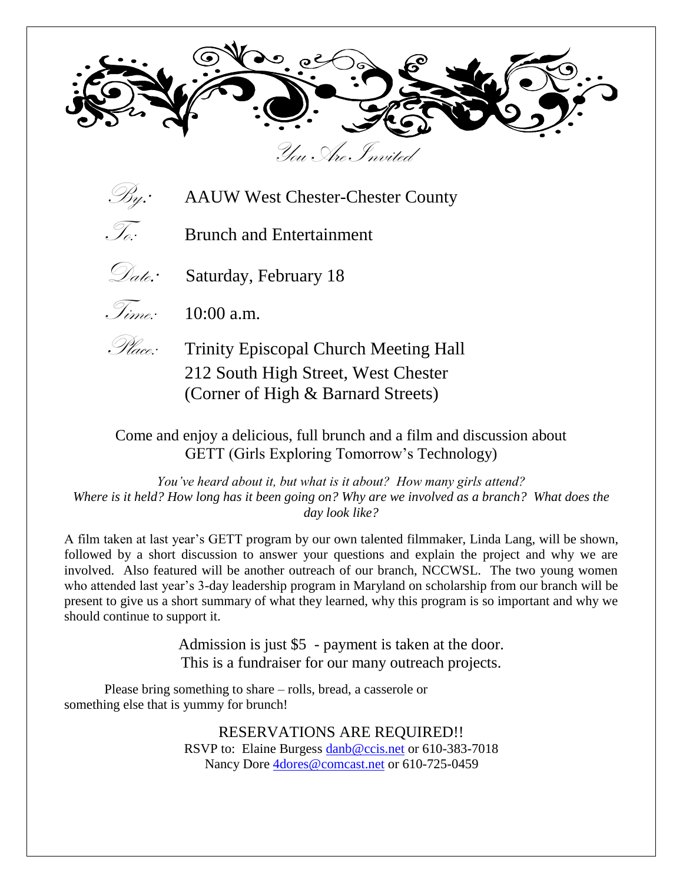



 $\mathcal{B}_{\mathcal{Y}}$ : AAUW West Chester-Chester County

 $\widetilde{\mathscr{I}_{\alpha}}$  Brunch and Entertainment



Date: Saturday, February 18



 $\widetilde{\mathcal{I}_{time}}$ : 10:00 a.m.



*Place:* Trinity Episcopal Church Meeting Hall 212 South High Street, West Chester (Corner of High & Barnard Streets)

Come and enjoy a delicious, full brunch and a film and discussion about GETT (Girls Exploring Tomorrow's Technology)

*You've heard about it, but what is it about? How many girls attend? Where is it held? How long has it been going on? Why are we involved as a branch? What does the day look like?*

A film taken at last year's GETT program by our own talented filmmaker, Linda Lang, will be shown, followed by a short discussion to answer your questions and explain the project and why we are involved. Also featured will be another outreach of our branch, NCCWSL. The two young women who attended last year's 3-day leadership program in Maryland on scholarship from our branch will be present to give us a short summary of what they learned, why this program is so important and why we should continue to support it.

> Admission is just \$5 - payment is taken at the door. This is a fundraiser for our many outreach projects.

Please bring something to share – rolls, bread, a casserole or something else that is yummy for brunch!

> RESERVATIONS ARE REQUIRED!! RSVP to: Elaine Burgess [danb@ccis.net](mailto:danb@ccis.net) or 610-383-7018 Nancy Dore [4dores@comcast.net](mailto:4dores@comcast.net) or 610-725-0459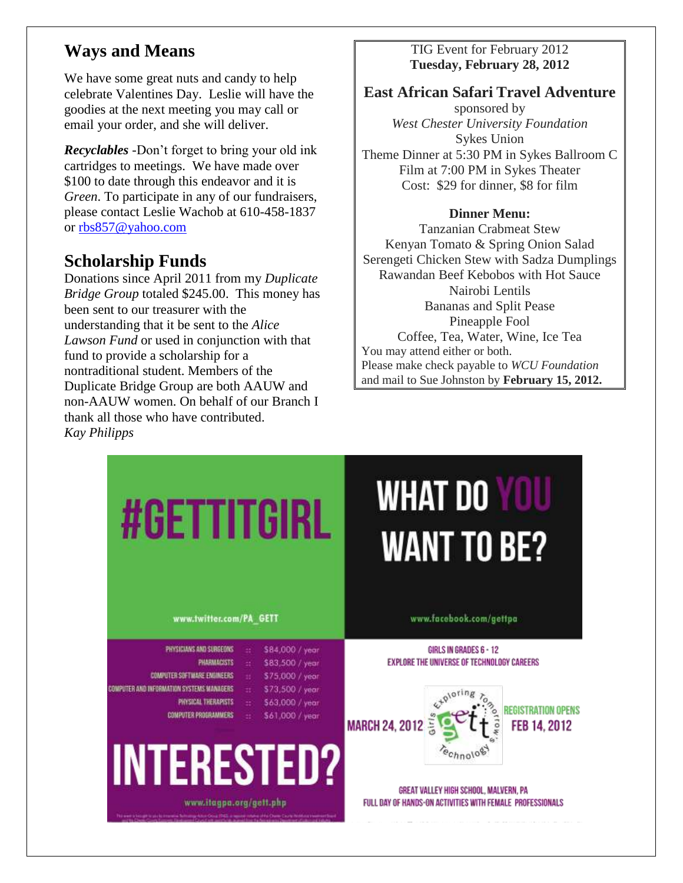# **Ways and Means**

We have some great nuts and candy to help celebrate Valentines Day. Leslie will have the goodies at the next meeting you may call or email your order, and she will deliver.

*Recyclables -*Don't forget to bring your old ink cartridges to meetings. We have made over \$100 to date through this endeavor and it is *Green*. To participate in any of our fundraisers, please contact Leslie Wachob at 610-458-1837 or [rbs857@yahoo.com](mailto:rbs857@yahoo.com)

### **Scholarship Funds**

Donations since April 2011 from my *Duplicate Bridge Group* totaled \$245.00. This money has been sent to our treasurer with the understanding that it be sent to the *Alice Lawson Fund* or used in conjunction with that fund to provide a scholarship for a nontraditional student. Members of the Duplicate Bridge Group are both AAUW and non-AAUW women. On behalf of our Branch I thank all those who have contributed. *Kay Philipps*

### TIG Event for February 2012 **Tuesday, February 28, 2012**

### **East African Safari Travel Adventure**

sponsored by *West Chester University Foundation* Sykes Union Theme Dinner at 5:30 PM in Sykes Ballroom C Film at 7:00 PM in Sykes Theater Cost: \$29 for dinner, \$8 for film

#### **Dinner Menu:**

Tanzanian Crabmeat Stew Kenyan Tomato & Spring Onion Salad Serengeti Chicken Stew with Sadza Dumplings Rawandan Beef Kebobos with Hot Sauce Nairobi Lentils Bananas and Split Pease Pineapple Fool Coffee, Tea, Water, Wine, Ice Tea You may attend either or both. Please make check payable to *WCU Foundation*  and mail to Sue Johnston by **February 15, 2012.**

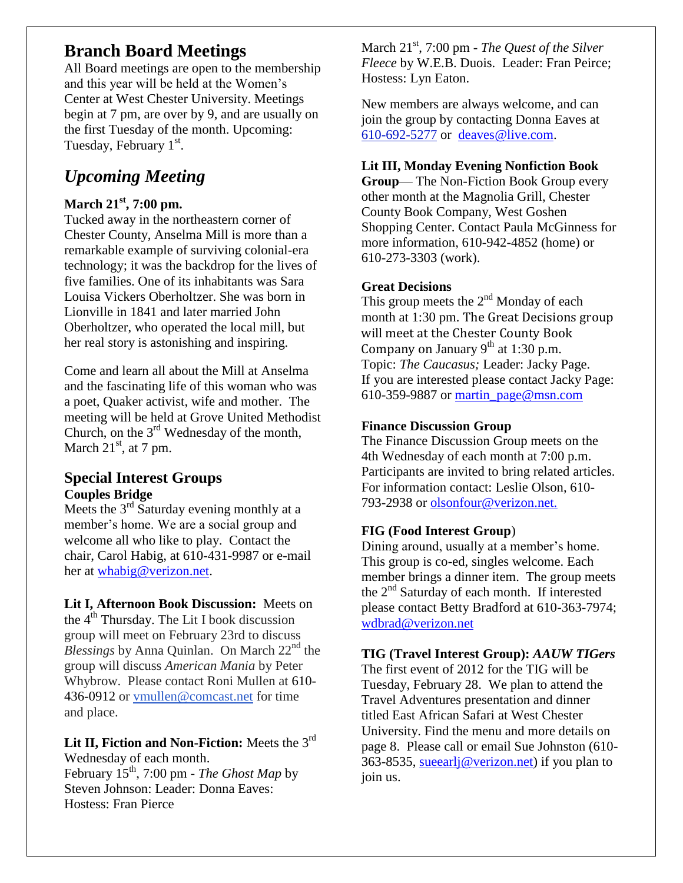# **Branch Board Meetings**

All Board meetings are open to the membership and this year will be held at the Women's Center at West Chester University. Meetings begin at 7 pm, are over by 9, and are usually on the first Tuesday of the month. Upcoming: Tuesday, February 1st.

# *Upcoming Meeting*

### **March 21st, 7:00 pm.**

Tucked away in the northeastern corner of Chester County, Anselma Mill is more than a remarkable example of surviving colonial-era technology; it was the backdrop for the lives of five families. One of its inhabitants was Sara Louisa Vickers Oberholtzer. She was born in Lionville in 1841 and later married John Oberholtzer, who operated the local mill, but her real story is astonishing and inspiring.

Come and learn all about the Mill at Anselma and the fascinating life of this woman who was a poet, Quaker activist, wife and mother. The meeting will be held at Grove United Methodist Church, on the  $3<sup>rd</sup>$  Wednesday of the month, March  $21<sup>st</sup>$ , at 7 pm.

### **Special Interest Groups Couples Bridge**

Meets the  $3<sup>rd</sup>$  Saturday evening monthly at a member's home. We are a social group and welcome all who like to play. Contact the chair, Carol Habig, at 610-431-9987 or e-mail her at [whabig@verizon.net.](mailto:whabig@verizon.net)

**Lit I, Afternoon Book Discussion:** Meets on the  $4<sup>th</sup>$  Thursday. The Lit I book discussion group will meet on February 23rd to discuss *Blessings* by Anna Quinlan. On March 22<sup>nd</sup> the group will discuss *American Mania* by Peter Whybrow. Please contact Roni Mullen at [610-](tel:/610-436-0912) [436-0912](tel:/610-436-0912) or [vmullen@comcast.net](mailto:vmullen@comcast.net) for time and place.

**Lit II, Fiction and Non-Fiction:** Meets the 3rd Wednesday of each month.

February 15th, 7:00 pm - *The Ghost Map* by Steven Johnson: Leader: Donna Eaves: Hostess: Fran Pierce

March 21<sup>st</sup>, 7:00 pm - *The Quest of the Silver Fleece* by W.E.B. Duois. Leader: Fran Peirce; Hostess: Lyn Eaton.

New members are always welcome, and can join the group by contacting Donna Eaves at [610-692-5277](tel:/610-692-5277) or [deaves@live.com.](mailto:deaves@live.com)

### **Lit III, Monday Evening Nonfiction Book**

**Group**— The Non-Fiction Book Group every other month at the Magnolia Grill, Chester County Book Company, West Goshen Shopping Center. Contact Paula McGinness for more information, 610-942-4852 (home) or 610-273-3303 (work).

### **Great Decisions**

This group meets the  $2<sup>nd</sup>$  Monday of each month at 1:30 pm. The Great Decisions group will meet at the Chester County Book Company on January  $9<sup>th</sup>$  at 1:30 p.m. Topic: *The Caucasus;* Leader: Jacky Page. If you are interested please contact Jacky Page: 610-359-9887 or [martin\\_page@msn.com](mailto:martin_page@msn.com)

### **Finance Discussion Group**

The Finance Discussion Group meets on the 4th Wednesday of each month at 7:00 p.m. Participants are invited to bring related articles. For information contact: Leslie Olson, 610- 793-2938 or olsonfour@verizon.net.

### **FIG (Food Interest Group**)

Dining around, usually at a member's home. This group is co-ed, singles welcome. Each member brings a dinner item. The group meets the 2nd Saturday of each month. If interested please contact Betty Bradford at 610-363-7974; [wdbrad@verizon.net](mailto:wdbrad@verizon.net)

### **TIG (Travel Interest Group):** *AAUW TIGers*

The first event of 2012 for the TIG will be Tuesday, February 28. We plan to attend the Travel Adventures presentation and dinner titled East African Safari at West Chester University. Find the menu and more details on page 8. Please call or email Sue Johnston (610- 363-8535, sueearlj@verizon.net) if you plan to join us.